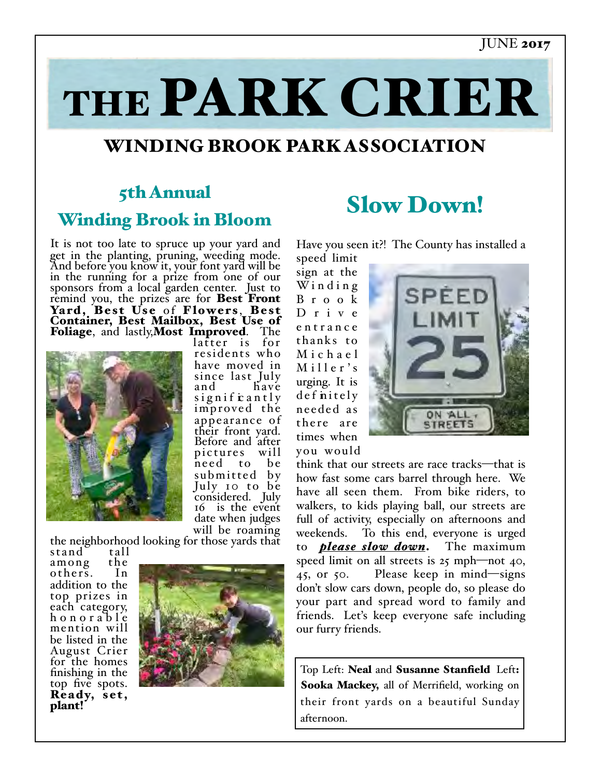#### JUNE 2017

THE PARK CRIER

## WINDING BROOK PARK ASSOCIATION

# 5th Annual

#### Winding Brook in Bloom

It is not too late to spruce up your yard and get in the planting, pruning, weeding mode. And before you know it, your font yard will be in the running for a prize from one of our sponsors from a local garden center. Just to remind you, the prizes are for Best Front Yard, Best Use of Flowers, Best Container, Best Mailbox, Best Use of Foliage, and lastly,Most Improved. The



latter is for residents who have moved in since last July have significantly impro ved the appearance of their front yard. Before and after pictures will need to be submitted by July 10 to be considered. July 16 is the event date when judges<br>will be roaming

the neighborhood looking for those yards that<br>stand tall

stand tall<br>among the among the<br>others. In others. addition to the top prizes in each category,  $h$  o n o r a  $b$  l  $e$ mention will be listed in the August Crier for the homes finishing in the top five spots. Ready, set, plant!



# Slow Down!

Have you seen it?! The County has installed a speed limit

sign at the  $W$  inding B r o o k D r i v e e n t r a n c e thanks to M i c h a e l  $M$  i l l e r  $'s$ urging. It is def nitely needed a s there are times when you would



think that our streets are race tracks—that is how fast some cars barrel through here. We have all seen them. From bike riders, to walkers, to kids playing ball, our streets are full of activity, especially on afternoons and weekends. To this end, everyone is urged to *please slow down*. The maximum speed limit on all streets is 25 mph—not 40, 45, or 50. Please keep in mind—signs don't slow cars down, people do, so please do your part and spread word to family and friends. Let's keep everyone safe including our furry friends.

Top Left: Neal and Susanne Stanfield Left: Sooka Mackey, all of Merrifield, working on their front yards on a beautiful Sunday afternoon.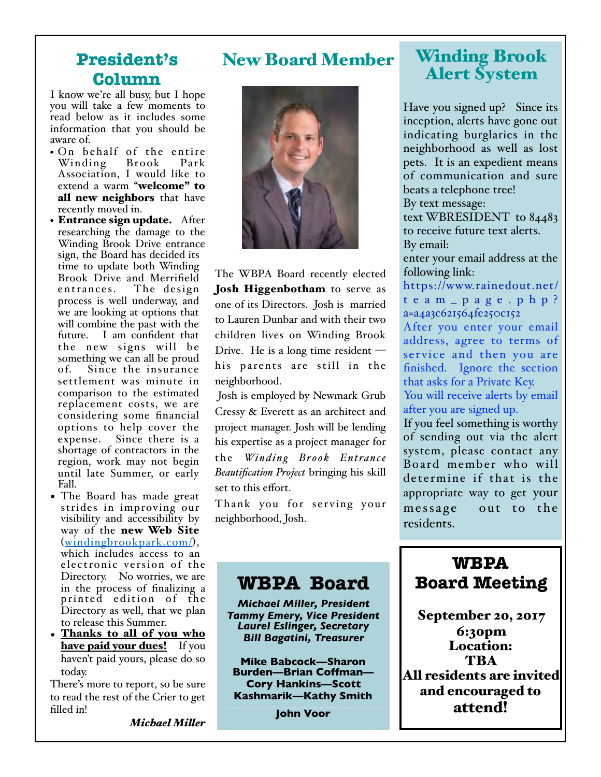### **President's Column**

I know we're all busy, but I hope you will take a few moments to read below as it includes some information that you should be aware of.

- On behalf of the entire Winding Brook Association, I would like to extend a warm "welcome" to all new neighbors that have recently moved in.
- Entrance sign update. After researching the damage to the Winding Brook Drive entrance sign, the Board has decided its time to update both Winding Brook Drive and Merrifield entrances. The design process is well underway, and we are looking at options that will combine the past with the future. I am confident that the new signs will be something we can all be proud<br>of. Since the insurance Since the insurance settlement was minute in comparison to the estimated replacement costs, we are considering some financial options to help cover the expense. Since there is a shortage of contractors in the region, work may not begin until late Summer, or early Fall.
- The Board has made great strides in improving our visibility and accessibility by way of the new Web Site ([windingbrookpark.com/](https://windingbrookpark.com/)), which includes access to an electronic version of the Directory. No worries, we are in the process of finalizing a printed edition of the Directory as well, that we plan to release this Summer.
- Thanks to all of you who have paid your dues! If you haven't paid yours, please do so today.

There's more to report, so be sure to read the rest of the Crier to get filled in!

*Michael Miler*

New Board Member



The WBPA Board recently elected Josh Higgenbotham to serve as one of its Directors. Josh is married to Lauren Dunbar and with their two children lives on Winding Brook Drive. He is a long time resident  $$ his parents are still in the neighborhood.

 Josh is employed by Newmark Grub Cressy & Everett as an architect and project manager. Josh will be lending his expertise as a project manager for the *Winding Brook Entrance Beautification Project* bringing his skill set to this effort.

Thank you for serving your neighborhood, Josh.

# Winding Brook Alert System

Have you signed up? Since its inception, alerts have gone out indicating burglaries in the neighborhood as well as lost pets. It is an expedient means of communication and sure beats a telephone tree! By text message:

text WBRESIDENT to 84483 to receive future text alerts. By email:

enter your email address at the following link:

https://www.rainedout.net/ [team\\_page.php?](https://www.rainedout.net/team_page.php?a=a4a3c621564fe250c152) [a=a4a3c621564fe250c152](https://www.rainedout.net/team_page.php?a=a4a3c621564fe250c152) After you enter your email address, agree to terms of ser vice and then you are finished. Ignore the section that asks for a Private Key.

You will receive alerts by email after you are signed up.

If you feel something is worthy of sending out via the alert system, please contact any Board member who will determine if that is the appropriate way to get your message out to the residents.

### **WBPA Board**

*Michael Miller, President Tammy Emery, Vice President Laurel Eslinger, Secretary Bill Bagatini, Treasurer*

**Mike Babcock—Sharon Burden—Brian Coffman— Cory Hankins—Scott Kashmarik—Kathy Smith**

**John Voor**

#### **WBPA Board Meeting**

September 20, 2017 6:30pm Location: TBA All residents are invited and encouraged to attend!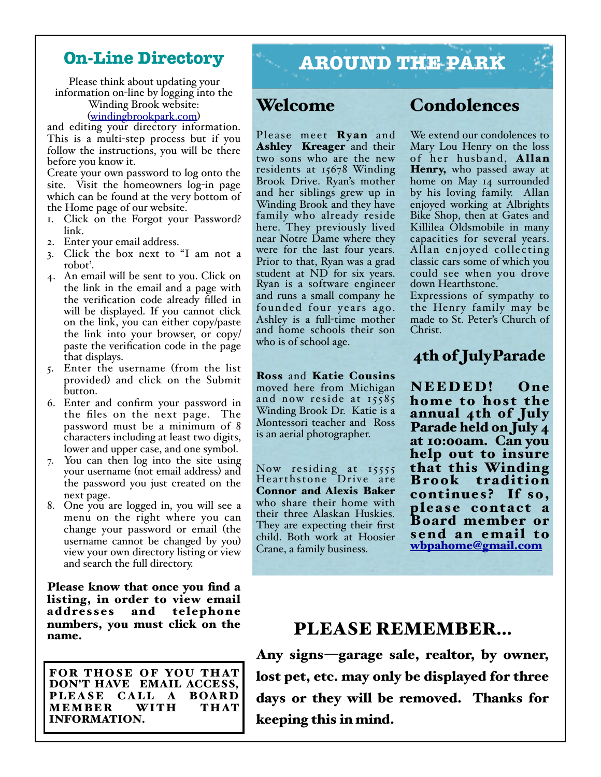### **On-Line Directory**

Please think about updating your information on-line by logging into the Winding Brook website:

([windingbrookpark.com](http://windingbrookpark.com))

and editing your directory information. This is a multi-step process but if you follow the instructions, you will be there before you know it.

Create your own password to log onto the site. Visit the homeowners log-in page which can be found at the very bottom of the Home page of our website.

- 1. Click on the Forgot your Password? link.
- 2. Enter your email address.
- 3. Click the box next to "I am not a robot'.
- 4. An email will be sent to you. Click on the link in the email and a page with the verification code already filled in will be displayed. If you cannot click on the link, you can either copy/paste the link into your browser, or copy/ paste the verification code in the page that displays.
- 5. Enter the username (from the list provided) and click on the Submit button.
- 6. Enter and confirm your password in the files on the next page. The password must be a minimum of 8 characters including at least two digits, lower and upper case, and one symbol.
- 7. You can then log into the site using your username (not email address) and the password you just created on the next page.
- 8. One you are logged in, you will see a menu on the right where you can change your password or email (the username cannot be changed by you) view your own directory listing or view and search the full directory.

Please know that once you find a listing, in order to view email and telephone numbers, you must click on the name.

FOR THOSE OF YOU THAT DON'T HAVE EMAIL ACCESS, PLEASE CALL A BOARD MEMBER WITH THAT INFORMATION.

# **AROUND THE PARK**

#### Welcome

Please meet Ryan and Ashley Kreager and their two sons who are the new residents at 15678 Winding Brook Drive. Ryan's mother and her siblings grew up in Winding Brook and they have family who already reside here. They previously lived near Notre Dame where they were for the last four years. Prior to that, Ryan was a grad student at ND for six years. Ryan is a software engineer and runs a small company he founded four years ago. Ashley is a full-time mother and home schools their son who is of school age.

Ross and Katie Cousins moved here from Michigan and now reside at 15585 Winding Brook Dr. Katie is a Montessori teacher and Ross is an aerial photographer.

Now residing at 15555 Hearthstone Drive are Connor and Alexis Baker who share their home with their three Alaskan Huskies. They are expecting their first child. Both work at Hoosier Crane, a family business.

#### Condolences

We extend our condolences to Mary Lou Henry on the loss of her husband, Allan Henry, who passed away at home on May 14 surrounded by his loving family. Allan enjoyed working at Albrights Bike Shop, then at Gates and Killilea Oldsmobile in many capacities for several years. Allan enjoyed collecting classic cars some of which you could see when you drove down Hearthstone.

Expressions of sympathy to the Henry family may be made to St. Peter's Church of Christ.

#### 4th of JulyParade

NEEDED! One home to host the annual 4th of July Parade held on July 4 at 10:00am. Can you help out to insure that this Winding Brook tradition continues? If so, please contact a Board member or send an email to [wbpahome@gmail.com](mailto:wbpahome@gmail.com)

#### PLEASE REMEMBER…

Any signs—garage sale, realtor, by owner, lost pet, etc. may only be displayed for three days or they will be removed. Thanks for keeping this in mind.